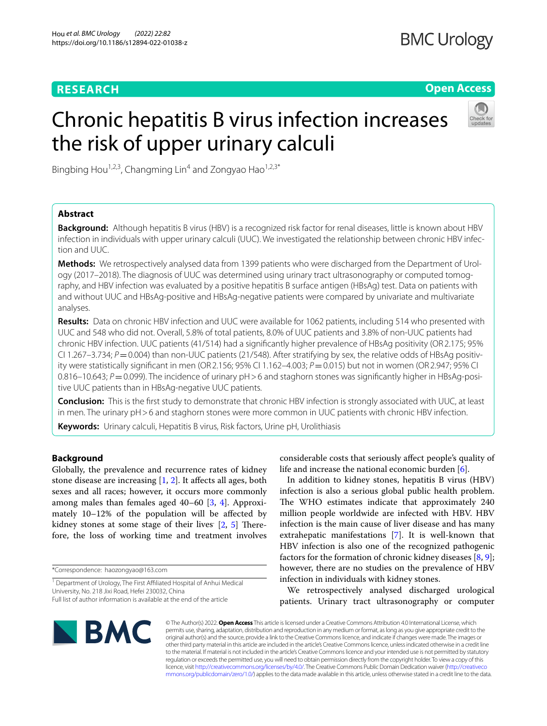# **RESEARCH**

# **Open Access**

# Chronic hepatitis B virus infection increases the risk of upper urinary calculi



Bingbing Hou<sup>1,2,3</sup>, Changming Lin<sup>4</sup> and Zongyao Hao<sup>1,2,3\*</sup>

# **Abstract**

**Background:** Although hepatitis B virus (HBV) is a recognized risk factor for renal diseases, little is known about HBV infection in individuals with upper urinary calculi (UUC). We investigated the relationship between chronic HBV infection and UUC.

**Methods:** We retrospectively analysed data from 1399 patients who were discharged from the Department of Urology (2017–2018). The diagnosis of UUC was determined using urinary tract ultrasonography or computed tomography, and HBV infection was evaluated by a positive hepatitis B surface antigen (HBsAg) test. Data on patients with and without UUC and HBsAg-positive and HBsAg-negative patients were compared by univariate and multivariate analyses.

**Results:** Data on chronic HBV infection and UUC were available for 1062 patients, including 514 who presented with UUC and 548 who did not. Overall, 5.8% of total patients, 8.0% of UUC patients and 3.8% of non-UUC patients had chronic HBV infection. UUC patients (41/514) had a signifcantly higher prevalence of HBsAg positivity (OR2.175; 95% CI 1.267–3.734;  $P = 0.004$ ) than non-UUC patients (21/548). After stratifying by sex, the relative odds of HBsAg positivity were statistically signifcant in men (OR2.156; 95% CI 1.162–4.003; *P*=0.015) but not in women (OR2.947; 95% CI 0.816–10.643; *P* = 0.099). The incidence of urinary pH > 6 and staghorn stones was significantly higher in HBsAg-positive UUC patients than in HBsAg-negative UUC patients.

**Conclusion:** This is the frst study to demonstrate that chronic HBV infection is strongly associated with UUC, at least in men. The urinary pH > 6 and staghorn stones were more common in UUC patients with chronic HBV infection.

**Keywords:** Urinary calculi, Hepatitis B virus, Risk factors, Urine pH, Urolithiasis

## **Background**

Globally, the prevalence and recurrence rates of kidney stone disease are increasing  $[1, 2]$  $[1, 2]$  $[1, 2]$ . It affects all ages, both sexes and all races; however, it occurs more commonly among males than females aged 40–60 [\[3](#page-5-2), [4](#page-5-3)]. Approximately 10–12% of the population will be afected by kidney stones at some stage of their lives [[2,](#page-5-1) [5](#page-5-4)] Therefore, the loss of working time and treatment involves

\*Correspondence: haozongyao@163.com

In addition to kidney stones, hepatitis B virus (HBV) infection is also a serious global public health problem. The WHO estimates indicate that approximately 240 million people worldwide are infected with HBV. HBV infection is the main cause of liver disease and has many extrahepatic manifestations [\[7](#page-5-6)]. It is well-known that HBV infection is also one of the recognized pathogenic factors for the formation of chronic kidney diseases [[8,](#page-5-7) [9](#page-5-8)]; however, there are no studies on the prevalence of HBV infection in individuals with kidney stones.

We retrospectively analysed discharged urological patients. Urinary tract ultrasonography or computer



© The Author(s) 2022. **Open Access** This article is licensed under a Creative Commons Attribution 4.0 International License, which permits use, sharing, adaptation, distribution and reproduction in any medium or format, as long as you give appropriate credit to the original author(s) and the source, provide a link to the Creative Commons licence, and indicate if changes were made. The images or other third party material in this article are included in the article's Creative Commons licence, unless indicated otherwise in a credit line to the material. If material is not included in the article's Creative Commons licence and your intended use is not permitted by statutory regulation or exceeds the permitted use, you will need to obtain permission directly from the copyright holder. To view a copy of this licence, visit [http://creativecommons.org/licenses/by/4.0/.](http://creativecommons.org/licenses/by/4.0/) The Creative Commons Public Domain Dedication waiver ([http://creativeco](http://creativecommons.org/publicdomain/zero/1.0/) [mmons.org/publicdomain/zero/1.0/](http://creativecommons.org/publicdomain/zero/1.0/)) applies to the data made available in this article, unless otherwise stated in a credit line to the data.

<sup>&</sup>lt;sup>1</sup> Department of Urology, The First Affiliated Hospital of Anhui Medical University, No. 218 Jixi Road, Hefei 230032, China Full list of author information is available at the end of the article

considerable costs that seriously afect people's quality of life and increase the national economic burden [\[6](#page-5-5)].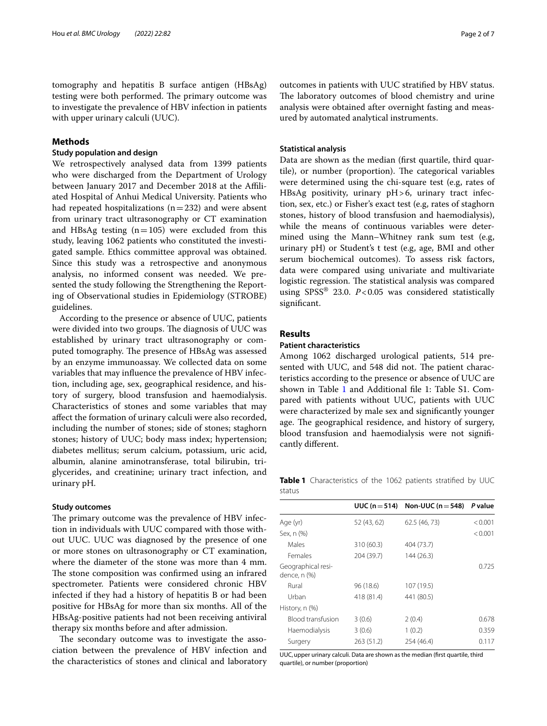tomography and hepatitis B surface antigen (HBsAg) testing were both performed. The primary outcome was to investigate the prevalence of HBV infection in patients with upper urinary calculi (UUC).

## **Methods**

## **Study population and design**

We retrospectively analysed data from 1399 patients who were discharged from the Department of Urology between January 2017 and December 2018 at the Afliated Hospital of Anhui Medical University. Patients who had repeated hospitalizations  $(n=232)$  and were absent from urinary tract ultrasonography or CT examination and HBsAg testing  $(n=105)$  were excluded from this study, leaving 1062 patients who constituted the investigated sample. Ethics committee approval was obtained. Since this study was a retrospective and anonymous analysis, no informed consent was needed. We presented the study following the Strengthening the Reporting of Observational studies in Epidemiology (STROBE) guidelines.

According to the presence or absence of UUC, patients were divided into two groups. The diagnosis of UUC was established by urinary tract ultrasonography or computed tomography. The presence of HBsAg was assessed by an enzyme immunoassay. We collected data on some variables that may infuence the prevalence of HBV infection, including age, sex, geographical residence, and history of surgery, blood transfusion and haemodialysis. Characteristics of stones and some variables that may afect the formation of urinary calculi were also recorded, including the number of stones; side of stones; staghorn stones; history of UUC; body mass index; hypertension; diabetes mellitus; serum calcium, potassium, uric acid, albumin, alanine aminotransferase, total bilirubin, triglycerides, and creatinine; urinary tract infection, and urinary pH.

#### **Study outcomes**

The primary outcome was the prevalence of HBV infection in individuals with UUC compared with those without UUC. UUC was diagnosed by the presence of one or more stones on ultrasonography or CT examination, where the diameter of the stone was more than 4 mm. The stone composition was confirmed using an infrared spectrometer. Patients were considered chronic HBV infected if they had a history of hepatitis B or had been positive for HBsAg for more than six months. All of the HBsAg-positive patients had not been receiving antiviral therapy six months before and after admission.

The secondary outcome was to investigate the association between the prevalence of HBV infection and the characteristics of stones and clinical and laboratory

outcomes in patients with UUC stratifed by HBV status. The laboratory outcomes of blood chemistry and urine analysis were obtained after overnight fasting and measured by automated analytical instruments.

## **Statistical analysis**

Data are shown as the median (frst quartile, third quartile), or number (proportion). The categorical variables were determined using the chi-square test (e.g, rates of HBsAg positivity, urinary pH>6, urinary tract infection, sex, etc.) or Fisher's exact test (e.g, rates of staghorn stones, history of blood transfusion and haemodialysis), while the means of continuous variables were determined using the Mann–Whitney rank sum test (e.g, urinary pH) or Student's t test (e.g, age, BMI and other serum biochemical outcomes). To assess risk factors, data were compared using univariate and multivariate logistic regression. The statistical analysis was compared using SPSS® 23.0. *P*<0.05 was considered statistically signifcant.

## **Results**

#### **Patient characteristics**

Among 1062 discharged urological patients, 514 presented with UUC, and 548 did not. The patient characteristics according to the presence or absence of UUC are shown in Table [1](#page-1-0) and Additional file 1: Table S1. Compared with patients without UUC, patients with UUC were characterized by male sex and signifcantly younger age. The geographical residence, and history of surgery, blood transfusion and haemodialysis were not signifcantly diferent.

<span id="page-1-0"></span>**Table 1** Characteristics of the 1062 patients stratifed by UUC status

|                                    | UUC ( $n = 514$ ) | Non-UUC ( $n = 548$ ) | P value |
|------------------------------------|-------------------|-----------------------|---------|
| Age (yr)                           | 52 (43, 62)       | 62.5 (46, 73)         | < 0.001 |
| Sex, n (%)                         |                   |                       | < 0.001 |
| Males                              | 310 (60.3)        | 404 (73.7)            |         |
| Females                            | 204 (39.7)        | 144 (26.3)            |         |
| Geographical resi-<br>dence, n (%) |                   |                       | 0.725   |
| Rural                              | 96 (18.6)         | 107 (19.5)            |         |
| Urban                              | 418 (81.4)        | 441 (80.5)            |         |
| History, n (%)                     |                   |                       |         |
| Blood transfusion                  | 3(0.6)            | 2(0.4)                | 0.678   |
| Haemodialysis                      | 3(0.6)            | 1(0.2)                | 0.359   |
| Surgery                            | 263 (51.2)        | 254 (46.4)            | 0.117   |

UUC, upper urinary calculi. Data are shown as the median (first quartile, third quartile), or number (proportion)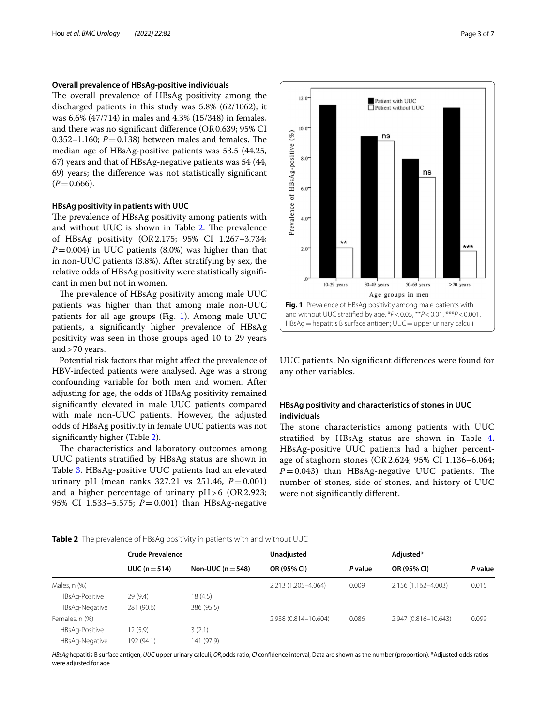## **Overall prevalence of HBsAg-positive individuals**

The overall prevalence of HBsAg positivity among the discharged patients in this study was 5.8% (62/1062); it was 6.6% (47/714) in males and 4.3% (15/348) in females, and there was no signifcant diference (OR0.639; 95% CI 0.352–1.160;  $P = 0.138$ ) between males and females. The median age of HBsAg-positive patients was 53.5 (44.25, 67) years and that of HBsAg-negative patients was 54 (44, 69) years; the diference was not statistically signifcant  $(P=0.666)$ .

## **HBsAg positivity in patients with UUC**

The prevalence of HBsAg positivity among patients with and without UUC is shown in Table [2](#page-2-0). The prevalence of HBsAg positivity (OR2.175; 95% CI 1.267–3.734;  $P=0.004$ ) in UUC patients (8.0%) was higher than that in non-UUC patients (3.8%). After stratifying by sex, the relative odds of HBsAg positivity were statistically signifcant in men but not in women.

The prevalence of HBsAg positivity among male UUC patients was higher than that among male non-UUC patients for all age groups (Fig. [1\)](#page-2-1). Among male UUC patients, a signifcantly higher prevalence of HBsAg positivity was seen in those groups aged 10 to 29 years and>70 years.

Potential risk factors that might afect the prevalence of HBV-infected patients were analysed. Age was a strong confounding variable for both men and women. After adjusting for age, the odds of HBsAg positivity remained signifcantly elevated in male UUC patients compared with male non-UUC patients. However, the adjusted odds of HBsAg positivity in female UUC patients was not signifcantly higher (Table [2\)](#page-2-0).

The characteristics and laboratory outcomes among UUC patients stratifed by HBsAg status are shown in Table [3.](#page-3-0) HBsAg-positive UUC patients had an elevated urinary pH (mean ranks  $327.21$  vs  $251.46$ ,  $P = 0.001$ ) and a higher percentage of urinary  $pH>6$  (OR 2.923; 95% CI 1.533–5.575; *P*=0.001) than HBsAg-negative

Prevalence of HBsAg-positive (%)  $4.0^{\circ}$  $2.0$  $10-29$  years  $30-49$  years  $50-69$  years  $>70$  years Age groups in men **Fig. 1** Prevalence of HBsAg positivity among male patients with and without UUC stratifed by age. \**P*<0.05, \*\**P*<0.01, \*\*\**P*<0.001. HBsAg = hepatitis B surface antigen; UUC = upper urinary calculi

 $\blacksquare$  Patient with UUC  $\blacksquare$  Patient without UUC

ns

ns

 $12.0$ 

 $10.0$ 

 $80-$ 

 $6.0$ 

<span id="page-2-1"></span>UUC patients. No signifcant diferences were found for any other variables.

# **HBsAg positivity and characteristics of stones in UUC individuals**

The stone characteristics among patients with UUC stratifed by HBsAg status are shown in Table [4](#page-4-0). HBsAg-positive UUC patients had a higher percentage of staghorn stones (OR2.624; 95% CI 1.136–6.064;  $P=0.043$ ) than HBsAg-negative UUC patients. The number of stones, side of stones, and history of UUC were not signifcantly diferent.

|                | <b>Crude Prevalence</b> |                   | Unadjusted           |         | Adjusted*            |         |
|----------------|-------------------------|-------------------|----------------------|---------|----------------------|---------|
|                | UUC $(n=514)$           | Non-UUC $(n=548)$ | OR (95% CI)          | P value | OR (95% CI)          | P value |
| Males, n (%)   |                         |                   | 2.213 (1.205-4.064)  | 0.009   | 2.156 (1.162-4.003)  | 0.015   |
| HBsAq-Positive | 29(9.4)                 | 18(4.5)           |                      |         |                      |         |
| HBsAq-Negative | 281 (90.6)              | 386 (95.5)        |                      |         |                      |         |
| Females, n (%) |                         |                   | 2.938 (0.814-10.604) | 0.086   | 2.947 (0.816-10.643) | 0.099   |
| HBsAq-Positive | 12 (5.9)                | 3(2.1)            |                      |         |                      |         |
| HBsAq-Negative | 192 (94.1)              | 141 (97.9)        |                      |         |                      |         |

<span id="page-2-0"></span>**Table 2** The prevalence of HBsAg positivity in patients with and without UUC

*HBsAg*hepatitis B surface antigen, *UUC* upper urinary calculi, *OR*,odds ratio, *CI* confdence interval, Data are shown as the number (proportion). \*Adjusted odds ratios were adjusted for age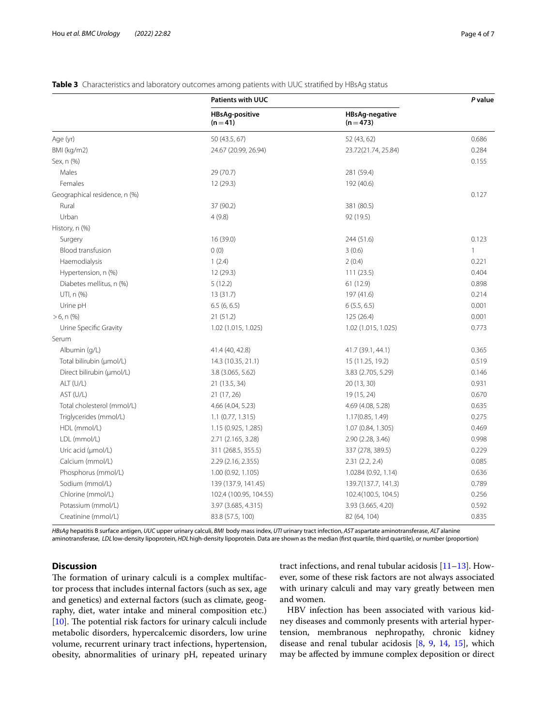# **Patients with UUC** *P* **value HBsAg-positive**  $(n=41)$ **HBsAg-negative (n**=**473)** Age (yr) 50 (43.5, 67) 50 (43.5, 67) 52 (43, 62) 52 (43, 62) BMI (kg/m2) 24.67 (20.99, 26.94) 23.72(21.74, 25.84) 0.284 Sex, n (%) 0.155 Males 29 (70.7) 281 (59.4) Females 12 (29.3) 192 (40.6) Geographical residence, n (%) 0.127 Rural 37 (90.2) 381 (80.5) Urban 4 (9.8) 92 (19.5) History, n (%) Surgery 16 (39.0) 244 (51.6) 0.123  $B$ lood transfusion and  $D(0)$  and  $3(0.6)$  1 Haemodialysis 1 (2.4) 2 (0.4) 0.221 Hypertension, n (%) 12 (29.3) 111 (23.5) 111 (23.5) 0.404 Diabetes mellitus, n (%) 5 (12.2) 61 (12.9) 0.898 UTI, n (%) 13 (31.7) 13 (31.7) 197 (41.6) 197 (41.6) 197 (41.6) 214 Urine pH 6.5 (6, 6.5) 6.5 (6, 6.5) 6 (5.5, 6.5) 6 (5.5, 6.5) 6 (5.5, 6.5) 6 (5.5, 6.5) 6 (5.5, 6.5) 6 (5.5, 6.5) >6, n (%) 21 (51.2) 125 (26.4) 0.001 Urine Specific Gravity 0.773 (1.015, 1.021) 1.02 (1.015, 1.025) 1.02 (1.015, 1.025) 0.773 Serum Albumin (g/L) 41.4 (40, 42.8) 41.7 (39.1, 44.1) 0.365 Total bilirubin (μmol/L) 14.3 (10.35, 21.1) 15 (11.25, 19.2) 0.519 Direct bilirubin (μmol/L) 3.8 (3.065, 5.62) 3.83 (2.705, 5.29) 0.146 ALT (U/L) 21 (13.5, 34) 20 (13, 30) 20 (13, 30) 20 (13, 30) AST (U/L) 20 (17, 26) 21 (17, 26) 20 (15, 24) 20 (25, 24) 20 (3670 Total cholesterol (mmol/L) 4.66 (4.04, 5.23) 4.69 (4.08, 5.28) 0.635 Triglycerides (mmol/L) 1.1 (0.77, 1.315) 1.17(0.85, 1.49) 0.275 HDL (mmol/L) 1.15 (0.925, 1.285) 1.07 (0.84, 1.305) 1.07 (0.84, 1.305) 0.469 LDL (mmol/L) 2.71 (2.165, 3.28) 2.90 (2.28, 3.46) 0.998 Uric acid (μmol/L) 311 (268.5, 355.5) 337 (278, 389.5) 337 (278, 389.5) 0.229 Calcium (mmol/L) 2.29 (2.16, 2.355) 2.31 (2.2, 2.4) 0.085 Phosphorus (mmol/L) 1.00 (0.92, 1.105) 1.0284 (0.92, 1.14) 0.636 Sodium (mmol/L) 139 (137.9, 141.45) 139.7(137.7, 141.3) 139.7(137.7, 141.3) 0.789 Chlorine (mmol/L) 102.4 (100.95, 104.55) 102.4(100.5, 104.5) 0.256 Potassium (mmol/L) 3.97 (3.685, 4.315) 3.93 (3.665, 4.20) 0.592

## <span id="page-3-0"></span>**Table 3** Characteristics and laboratory outcomes among patients with UUC stratified by HBsAg status

*HBsAg* hepatitis B surface antigen, *UUC* upper urinary calculi, *BMI* body mass index, *UTI* urinary tract infection, *AST* aspartate aminotransferase, *ALT* alanine aminotransferase, *LDL* low-density lipoprotein, *HDL*high-density lipoprotein. Data are shown as the median (frst quartile, third quartile), or number (proportion)

Creatinine (mmol/L) 83.8 (57.5, 100) 82 (64, 104) 83.6 (57.5, 100 82 (64, 104)

# **Discussion**

The formation of urinary calculi is a complex multifactor process that includes internal factors (such as sex, age and genetics) and external factors (such as climate, geography, diet, water intake and mineral composition etc.)  $[10]$  $[10]$ . The potential risk factors for urinary calculi include metabolic disorders, hypercalcemic disorders, low urine volume, recurrent urinary tract infections, hypertension, obesity, abnormalities of urinary pH, repeated urinary

tract infections, and renal tubular acidosis  $[11-13]$  $[11-13]$ . However, some of these risk factors are not always associated with urinary calculi and may vary greatly between men and women.

HBV infection has been associated with various kidney diseases and commonly presents with arterial hypertension, membranous nephropathy, chronic kidney disease and renal tubular acidosis [[8,](#page-5-7) [9,](#page-5-8) [14](#page-6-3), [15](#page-6-4)], which may be afected by immune complex deposition or direct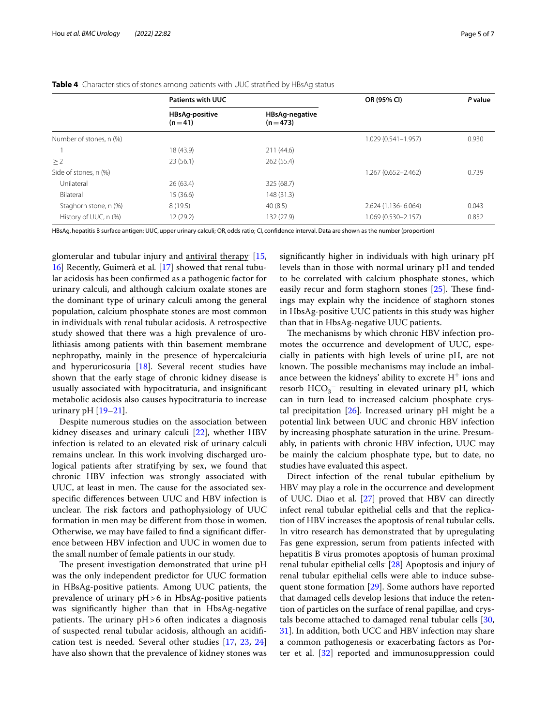|                         | <b>Patients with UUC</b>          |                                    | OR (95% CI)            | P value |  |
|-------------------------|-----------------------------------|------------------------------------|------------------------|---------|--|
|                         | <b>HBsAg-positive</b><br>$(n=41)$ | <b>HBsAg-negative</b><br>$(n=473)$ |                        |         |  |
| Number of stones, n (%) |                                   |                                    | $1.029(0.541 - 1.957)$ | 0.930   |  |
|                         | 18 (43.9)                         | 211 (44.6)                         |                        |         |  |
| $\geq$ 2                | 23(56.1)                          | 262 (55.4)                         |                        |         |  |
| Side of stones, n (%)   |                                   |                                    | 1.267 (0.652-2.462)    | 0.739   |  |
| Unilateral              | 26(63.4)                          | 325 (68.7)                         |                        |         |  |
| Bilateral               | 15 (36.6)                         | 148 (31.3)                         |                        |         |  |
| Staghorn stone, n (%)   | 8(19.5)                           | 40(8.5)                            | 2.624 (1.136-6.064)    | 0.043   |  |
| History of UUC, n (%)   | 12 (29.2)                         | 132 (27.9)                         | 1.069 (0.530-2.157)    | 0.852   |  |

<span id="page-4-0"></span>**Table 4** Characteristics of stones among patients with UUC stratifed by HBsAg status

HBsAg,hepatitis B surface antigen; UUC,upper urinary calculi; OR,odds ratio; CI, confdence interval. Data are shown as the number (proportion)

glomerular and tubular injury and **antiviral** therapy [\[15](#page-6-4), [16\]](#page-6-5) Recently, Guimerà et al*.* [\[17](#page-6-6)] showed that renal tubular acidosis has been confrmed as a pathogenic factor for urinary calculi, and although calcium oxalate stones are the dominant type of urinary calculi among the general population, calcium phosphate stones are most common in individuals with renal tubular acidosis. A retrospective study showed that there was a high prevalence of urolithiasis among patients with thin basement membrane nephropathy, mainly in the presence of hypercalciuria and hyperuricosuria [\[18\]](#page-6-7). Several recent studies have shown that the early stage of chronic kidney disease is usually associated with hypocitraturia, and insignifcant metabolic acidosis also causes hypocitraturia to increase urinary pH  $[19-21]$  $[19-21]$  $[19-21]$ .

Despite numerous studies on the association between kidney diseases and urinary calculi [\[22\]](#page-6-10), whether HBV infection is related to an elevated risk of urinary calculi remains unclear. In this work involving discharged urological patients after stratifying by sex, we found that chronic HBV infection was strongly associated with UUC, at least in men. The cause for the associated sexspecifc diferences between UUC and HBV infection is unclear. The risk factors and pathophysiology of UUC formation in men may be diferent from those in women. Otherwise, we may have failed to fnd a signifcant diference between HBV infection and UUC in women due to the small number of female patients in our study.

The present investigation demonstrated that urine pH was the only independent predictor for UUC formation in HBsAg-positive patients. Among UUC patients, the prevalence of urinary pH>6 in HbsAg-positive patients was signifcantly higher than that in HbsAg-negative patients. The urinary  $pH>6$  often indicates a diagnosis of suspected renal tubular acidosis, although an acidifcation test is needed. Several other studies [[17](#page-6-6), [23](#page-6-11), [24](#page-6-12)] have also shown that the prevalence of kidney stones was signifcantly higher in individuals with high urinary pH levels than in those with normal urinary pH and tended to be correlated with calcium phosphate stones, which easily recur and form staghorn stones  $[25]$  $[25]$ . These findings may explain why the incidence of staghorn stones in HbsAg-positive UUC patients in this study was higher than that in HbsAg-negative UUC patients.

The mechanisms by which chronic HBV infection promotes the occurrence and development of UUC, especially in patients with high levels of urine pH, are not known. The possible mechanisms may include an imbalance between the kidneys' ability to excrete  $H^+$  ions and resorb  $HCO_3^-$  resulting in elevated urinary pH, which can in turn lead to increased calcium phosphate crystal precipitation  $[26]$  $[26]$ . Increased urinary pH might be a potential link between UUC and chronic HBV infection by increasing phosphate saturation in the urine. Presumably, in patients with chronic HBV infection, UUC may be mainly the calcium phosphate type, but to date, no studies have evaluated this aspect.

Direct infection of the renal tubular epithelium by HBV may play a role in the occurrence and development of UUC. Diao et al*.* [[27\]](#page-6-15) proved that HBV can directly infect renal tubular epithelial cells and that the replication of HBV increases the apoptosis of renal tubular cells. In vitro research has demonstrated that by upregulating Fas gene expression, serum from patients infected with hepatitis B virus promotes apoptosis of human proximal renal tubular epithelial cells<sup>[[28\]](#page-6-16)</sup> Apoptosis and injury of renal tubular epithelial cells were able to induce subsequent stone formation [\[29](#page-6-17)]. Some authors have reported that damaged cells develop lesions that induce the retention of particles on the surface of renal papillae, and crystals become attached to damaged renal tubular cells [[30](#page-6-18), [31\]](#page-6-19). In addition, both UCC and HBV infection may share a common pathogenesis or exacerbating factors as Porter et al. [\[32\]](#page-6-20) reported and immunosuppression could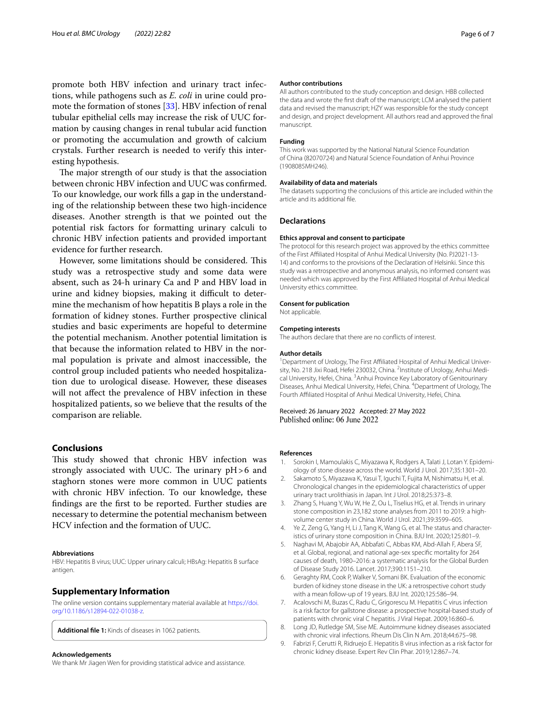promote both HBV infection and urinary tract infections, while pathogens such as *E. coli* in urine could promote the formation of stones [[33](#page-6-21)]. HBV infection of renal tubular epithelial cells may increase the risk of UUC formation by causing changes in renal tubular acid function or promoting the accumulation and growth of calcium crystals. Further research is needed to verify this interesting hypothesis.

The major strength of our study is that the association between chronic HBV infection and UUC was confrmed. To our knowledge, our work flls a gap in the understanding of the relationship between these two high-incidence diseases. Another strength is that we pointed out the potential risk factors for formatting urinary calculi to chronic HBV infection patients and provided important evidence for further research.

However, some limitations should be considered. This study was a retrospective study and some data were absent, such as 24-h urinary Ca and P and HBV load in urine and kidney biopsies, making it difficult to determine the mechanism of how hepatitis B plays a role in the formation of kidney stones. Further prospective clinical studies and basic experiments are hopeful to determine the potential mechanism. Another potential limitation is that because the information related to HBV in the normal population is private and almost inaccessible, the control group included patients who needed hospitalization due to urological disease. However, these diseases will not afect the prevalence of HBV infection in these hospitalized patients, so we believe that the results of the comparison are reliable.

## **Conclusions**

This study showed that chronic HBV infection was strongly associated with UUC. The urinary  $pH>6$  and staghorn stones were more common in UUC patients with chronic HBV infection. To our knowledge, these fndings are the frst to be reported. Further studies are necessary to determine the potential mechanism between HCV infection and the formation of UUC.

#### **Abbreviations**

HBV: Hepatitis B virus; UUC: Upper urinary calculi; HBsAg: Hepatitis B surface antigen.

## **Supplementary Information**

The online version contains supplementary material available at [https://doi.](https://doi.org/10.1186/s12894-022-01038-z) [org/10.1186/s12894-022-01038-z.](https://doi.org/10.1186/s12894-022-01038-z)

**Additional fle 1:** Kinds of diseases in 1062 patients.

#### **Acknowledgements**

We thank Mr Jiagen Wen for providing statistical advice and assistance.

#### **Author contributions**

All authors contributed to the study conception and design. HBB collected the data and wrote the frst draft of the manuscript; LCM analysed the patient data and revised the manuscript; HZY was responsible for the study concept and design, and project development. All authors read and approved the fnal manuscript.

#### **Funding**

This work was supported by the National Natural Science Foundation of China (82070724) and Natural Science Foundation of Anhui Province (1908085MH246).

#### **Availability of data and materials**

The datasets supporting the conclusions of this article are included within the article and its additional fle.

## **Declarations**

#### **Ethics approval and consent to participate**

The protocol for this research project was approved by the ethics committee of the First Afliated Hospital of Anhui Medical University (No. PJ2021-13- 14) and conforms to the provisions of the Declaration of Helsinki. Since this study was a retrospective and anonymous analysis, no informed consent was needed which was approved by the First Afliated Hospital of Anhui Medical University ethics committee.

**Consent for publication**

Not applicable.

#### **Competing interests**

The authors declare that there are no conficts of interest.

#### **Author details**

<sup>1</sup> Department of Urology, The First Affiliated Hospital of Anhui Medical University, No. 218 Jixi Road, Hefei 230032, China. <sup>2</sup>Institute of Urology, Anhui Medical University, Hefei, China. <sup>3</sup> Anhui Province Key Laboratory of Genitourinary Diseases, Anhui Medical University, Hefei, China. 4 Department of Urology, The Fourth Afliated Hospital of Anhui Medical University, Hefei, China.

Received: 26 January 2022 Accepted: 27 May 2022 Published online: 06 June 2022

#### **References**

- <span id="page-5-0"></span>1. Sorokin I, Mamoulakis C, Miyazawa K, Rodgers A, Talati J, Lotan Y. Epidemiology of stone disease across the world. World J Urol. 2017;35:1301–20.
- <span id="page-5-1"></span>2. Sakamoto S, Miyazawa K, Yasui T, Iguchi T, Fujita M, Nishimatsu H, et al. Chronological changes in the epidemiological characteristics of upper urinary tract urolithiasis in Japan. Int J Urol. 2018;25:373–8.
- <span id="page-5-2"></span>3. Zhang S, Huang Y, Wu W, He Z, Ou L, Tiselius HG, et al. Trends in urinary stone composition in 23,182 stone analyses from 2011 to 2019: a highvolume center study in China. World J Urol. 2021;39:3599–605.
- <span id="page-5-3"></span>4. Ye Z, Zeng G, Yang H, Li J, Tang K, Wang G, et al. The status and characteristics of urinary stone composition in China. BJU Int. 2020;125:801–9.
- <span id="page-5-4"></span>5. Naghavi M, Abajobir AA, Abbafati C, Abbas KM, Abd-Allah F, Abera SF, et al. Global, regional, and national age-sex specifc mortality for 264 causes of death, 1980–2016: a systematic analysis for the Global Burden of Disease Study 2016. Lancet. 2017;390:1151–210.
- <span id="page-5-5"></span>6. Geraghty RM, Cook P, Walker V, Somani BK. Evaluation of the economic burden of kidney stone disease in the UK: a retrospective cohort study with a mean follow-up of 19 years. BJU Int. 2020;125:586–94.
- <span id="page-5-6"></span>7. Acalovschi M, Buzas C, Radu C, Grigorescu M. Hepatitis C virus infection is a risk factor for gallstone disease: a prospective hospital-based study of patients with chronic viral C hepatitis. J Viral Hepat. 2009;16:860–6.
- <span id="page-5-7"></span>8. Long JD, Rutledge SM, Sise ME. Autoimmune kidney diseases associated with chronic viral infections. Rheum Dis Clin N Am. 2018;44:675–98.
- <span id="page-5-8"></span>9. Fabrizi F, Cerutti R, Ridruejo E. Hepatitis B virus infection as a risk factor for chronic kidney disease. Expert Rev Clin Phar. 2019;12:867–74.